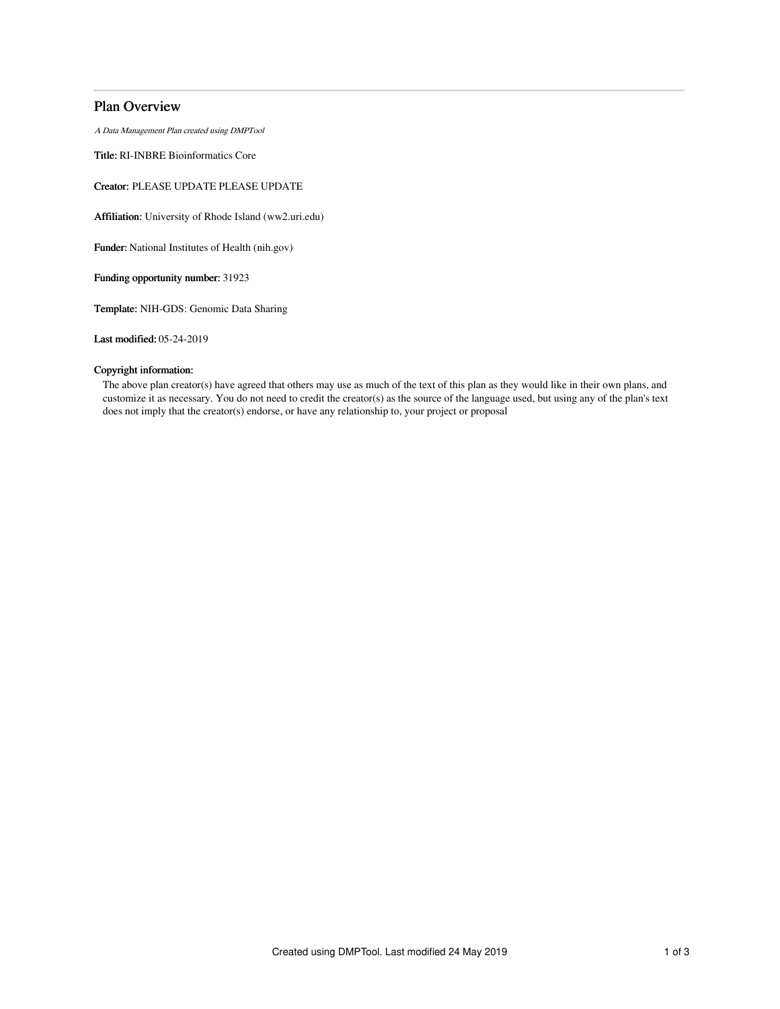## Plan Overview

A Data Management Plan created using DMPTool

Title: RI-INBRE Bioinformatics Core

Creator: PLEASE UPDATE PLEASE UPDATE

Affiliation: University of Rhode Island (ww2.uri.edu)

Funder: National Institutes of Health (nih.gov)

Funding opportunity number: 31923

Template: NIH-GDS: Genomic Data Sharing

Last modified: 05-24-2019

### Copyright information:

The above plan creator(s) have agreed that others may use as much of the text of this plan as they would like in their own plans, and customize it as necessary. You do not need to credit the creator(s) as the source of the language used, but using any of the plan's text does not imply that the creator(s) endorse, or have any relationship to, your project or proposal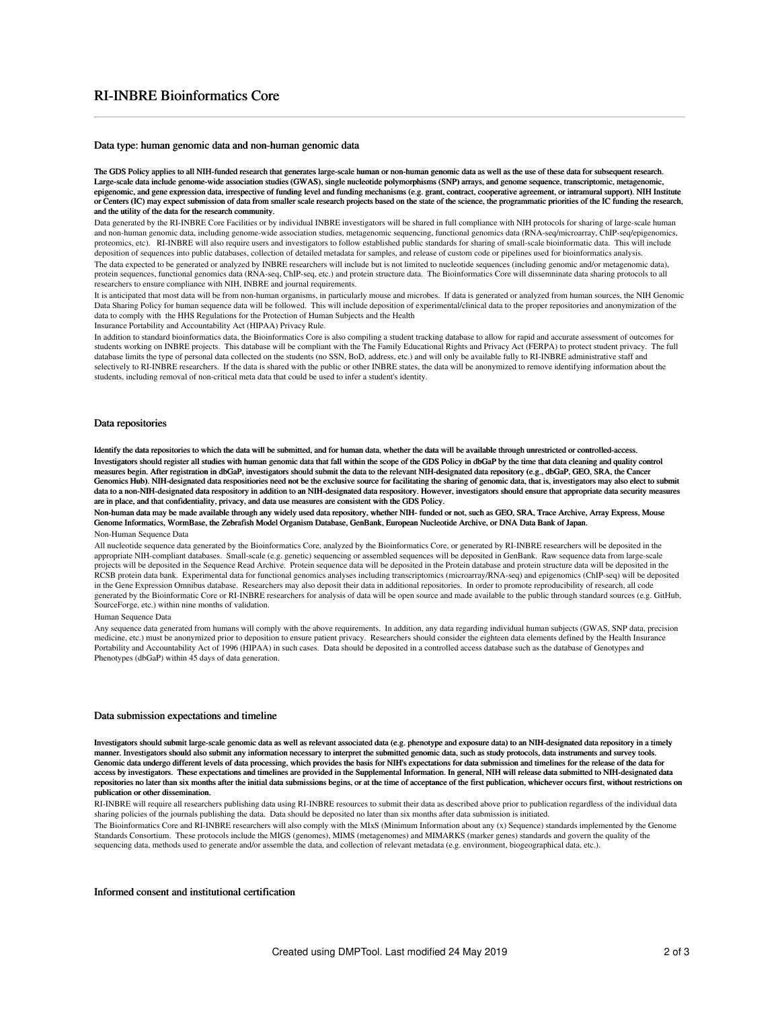# RI-INBRE Bioinformatics Core

#### Data type: human genomic data and non-human genomic data

The GDS Policy applies to all NIH-funded research that generates large-scale human or non-human genomic data as well as the use of these data for subsequent research. Large-scale data include genome-wide association studies (GWAS), single nucleotide polymorphisms (SNP) arrays, and genome sequence, transcriptomic, metagenomic, epigenomic, and gene expression data, irrespective of funding level and funding mechanisms (e.g. grant, contract, cooperative agreement, or intramural support). NIH Institute or Centers (IC) may expect submission of data from smaller scale research projects based on the state of the science, the programmatic priorities of the IC funding the research, and the utility of the data for the research community.

Data generated by the RI-INBRE Core Facilities or by individual INBRE investigators will be shared in full compliance with NIH protocols for sharing of large-scale human and non-human genomic data, including genome-wide association studies, metagenomic sequencing, functional genomics data (RNA-seq/microarray, ChIP-seq/epigenomics, proteomics, etc). RI-INBRE will also require users and investigators to follow established public standards for sharing of small-scale bioinformatic data. This will include deposition of sequences into public databases, collection of detailed metadata for samples, and release of custom code or pipelines used for bioinformatics analysis. The data expected to be generated or analyzed by INBRE researchers will include but is not limited to nucleotide sequences (including genomic and/or metagenomic data), protein sequences, functional genomics data (RNA-seq, ChIP-seq, etc.) and protein structure data. The Bioinformatics Core will dissemninate data sharing protocols to all researchers to ensure compliance with NIH, INBRE and journal requirements.

It is anticipated that most data will be from non-human organisms, in particularly mouse and microbes. If data is generated or analyzed from human sources, the NIH Genomic Data Sharing Policy for human sequence data will be followed. This will include deposition of experimental/clinical data to the proper repositories and anonymization of the data to comply with the HHS Regulations for the Protection of Human Subjects and the Health

Insurance Portability and Accountability Act (HIPAA) Privacy Rule.

In addition to standard bioinformatics data, the Bioinformatics Core is also compiling a student tracking database to allow for rapid and accurate assessment of outcomes for students working on INBRE projects. This database will be compliant with the The Family Educational Rights and Privacy Act (FERPA) to protect student privacy. The full database limits the type of personal data collected on the students (no SSN, BoD, address, etc.) and will only be available fully to RI-INBRE administrative staff and selectively to RI-INBRE researchers. If the data is shared with the public or other INBRE states, the data will be anonymized to remove identifying information about the students, including removal of non-critical meta data that could be used to infer a student's identity.

#### Data repositories

Identify the data repositories to which the data will be submitted, and for human data, whether the data will be available through unrestricted or controlled-access. Investigators should register all studies with human genomic data that fall within the scope of the GDS Policy in dbGaP by the time that data cleaning and quality control measures begin. After registration in dbGaP, investigators should submit the data to the relevant NIH-designated data repository (e.g., dbGaP, GEO, SRA, the Cancer Genomics Hub). NIH-designated data respositiories need not be the exclusive source for facilitating the sharing of genomic data, that is, investigators may also elect to submit data to a non-NIH-designated data respository in addition to an NIH-designated data respository. However, investigators should ensure that appropriate data security measures are in place, and that confidentiality, privacy, and data use measures are consistent with the GDS Policy.

Non-human data may be made available through any widely used data repository, whether NIH- funded or not, such as GEO, SRA, Trace Archive, Array Express, Mouse<br>Genome Informatics, WormBase, the Zebrafish Model Organism Dat

#### Non-Human Sequence Data

All nucleotide sequence data generated by the Bioinformatics Core, analyzed by the Bioinformatics Core, or generated by RI-INBRE researchers will be deposited in the appropriate NIH-compliant databases. Small-scale (e.g. genetic) sequencing or assembled sequences will be deposited in GenBank. Raw sequence data from large-scale projects will be deposited in the Sequence Read Archive. Protein sequence data will be deposited in the Protein database and protein structure data will be deposited in the<br>RCSB protein data bank. Experimental data for f in the Gene Expression Omnibus database. Researchers may also deposit their data in additional repositories. In order to promote reproducibility of research, all code generated by the Bioinformatic Core or RI-INBRE researchers for analysis of data will be open source and made available to the public through standard sources (e.g. GitHub, SourceForge, etc.) within nine months of validation.

#### Human Sequence Data

Any sequence data generated from humans will comply with the above requirements. In addition, any data regarding individual human subjects (GWAS, SNP data, precision medicine, etc.) must be anonymized prior to deposition to ensure patient privacy. Researchers should consider the eighteen data elements defined by the Health Insurance Portability and Accountability Act of 1996 (HIPAA) in such cases. Data should be deposited in a controlled access database such as the database of Genotypes and Phenotypes (dbGaP) within 45 days of data generation.

#### Data submission expectations and timeline

Investigators should submit large-scale genomic data as well as relevant associated data (e.g. phenotype and exposure data) to an NIH-designated data repository in a timely manner. Investigators should also submit any information necessary to interpret the submitted genomic data, such as study protocols, data instruments and survey tools. Genomic data undergo different levels of data processing, which provides the basis for NIH's expectations for data submission and timelines for the release of the data for access by investigators. These expectations and timelines are provided in the Supplemental Information. In general, NIH will release data submitted to NIH-designated data repositories no later than six months after the initial data submissions begins, or at the time of acceptance of the first publication, whichever occurs first, without restrictions on publication or other dissemination.

RI-INBRE will require all researchers publishing data using RI-INBRE resources to submit their data as described above prior to publication regardless of the individual data sharing policies of the journals publishing the data. Data should be deposited no later than six months after data submission is initiated.

The Bioinformatics Core and RI-INBRE researchers will also comply with the MIxS (Minimum Information about any (x) Sequence) standards implemented by the Genome Standards Consortium. These protocols include the MIGS (genomes), MIMS (metagenomes) and MIMARKS (marker genes) standards and govern the quality of the sequencing data, methods used to generate and/or assemble the data, and collection of relevant metadata (e.g. environment, biogeographical data, etc.).

#### Informed consent and institutional certification